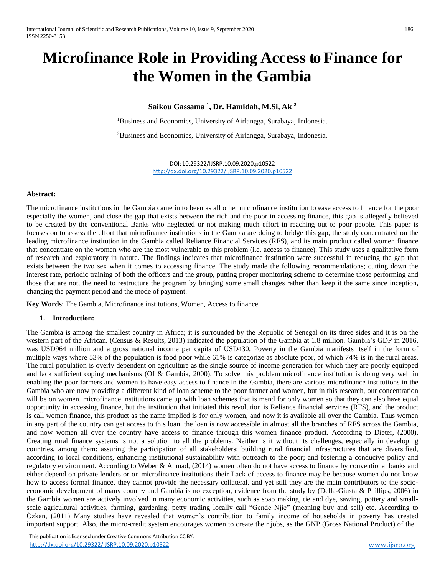# **Microfinance Role in Providing Access to Finance for the Women in the Gambia**

# **Saikou Gassama <sup>1</sup> , Dr. Hamidah, M.Si, Ak <sup>2</sup>**

<sup>1</sup>Business and Economics, University of Airlangga, Surabaya, Indonesia. <sup>2</sup>Business and Economics, University of Airlangga, Surabaya, Indonesia.

> DOI:10.29322/IJSRP.10.09.2020.p10522 <http://dx.doi.org/10.29322/IJSRP.10.09.2020.p10522>

#### **Abstract:**

The microfinance institutions in the Gambia came in to been as all other microfinance institution to ease access to finance for the poor especially the women, and close the gap that exists between the rich and the poor in accessing finance, this gap is allegedly believed to be created by the conventional Banks who neglected or not making much effort in reaching out to poor people. This paper is focuses on to assess the effort that microfinance institutions in the Gambia are doing to bridge this gap, the study concentrated on the leading microfinance institution in the Gambia called Reliance Financial Services (RFS), and its main product called women finance that concentrate on the women who are the most vulnerable to this problem (i.e. access to finance). This study uses a qualitative form of research and exploratory in nature. The findings indicates that microfinance institution were successful in reducing the gap that exists between the two sex when it comes to accessing finance. The study made the following recommendations; cutting down the interest rate, periodic training of both the officers and the group, putting proper monitoring scheme to determine those performing and those that are not, the need to restructure the program by bringing some small changes rather than keep it the same since inception, changing the payment period and the mode of payment.

**Key Words**: The Gambia, Microfinance institutions, Women, Access to finance.

#### **1. Introduction:**

The Gambia is among the smallest country in Africa; it is surrounded by the Republic of Senegal on its three sides and it is on the western part of the African. (Census & Results, 2013) indicated the population of the Gambia at 1.8 million. Gambia's GDP in 2016, was USD964 million and a gross national income per capita of USD430. Poverty in the Gambia manifests itself in the form of multiple ways where 53% of the population is food poor while 61% is categorize as absolute poor, of which 74% is in the rural areas. The rural population is overly dependent on agriculture as the single source of income generation for which they are poorly equipped and lack sufficient coping mechanisms (Of & Gambia, 2000). To solve this problem microfinance institution is doing very well in enabling the poor farmers and women to have easy access to finance in the Gambia, there are various microfinance institutions in the Gambia who are now providing a different kind of loan scheme to the poor farmer and women, but in this research, our concentration will be on women. microfinance institutions came up with loan schemes that is mend for only women so that they can also have equal opportunity in accessing finance, but the institution that initiated this revolution is Reliance financial services (RFS), and the product is call women finance, this product as the name implied is for only women, and now it is available all over the Gambia. Thus women in any part of the country can get access to this loan, the loan is now accessible in almost all the branches of RFS across the Gambia, and now women all over the country have access to finance through this women finance product. According to Dieter, (2000), Creating rural finance systems is not a solution to all the problems. Neither is it without its challenges, especially in developing countries, among them: assuring the participation of all stakeholders; building rural financial infrastructures that are diversified, according to local conditions, enhancing institutional sustainability with outreach to the poor; and fostering a conducive policy and regulatory environment. According to Weber & Ahmad, (2014) women often do not have access to finance by conventional banks and either depend on private lenders or on microfinance institutions their Lack of access to finance may be because women do not know how to access formal finance, they cannot provide the necessary collateral. and yet still they are the main contributors to the socioeconomic development of many country and Gambia is no exception, evidence from the study by (Della-Giusta & Phillips, 2006) in the Gambia women are actively involved in many economic activities, such as soap making, tie and dye, sawing, pottery and smallscale agricultural activities, farming, gardening, petty trading locally call "Gende Njie" (meaning buy and sell) etc. According to Özkan, (2011) Many studies have revealed that women's contribution to family income of households in poverty has created important support. Also, the micro-credit system encourages women to create their jobs, as the GNP (Gross National Product) of the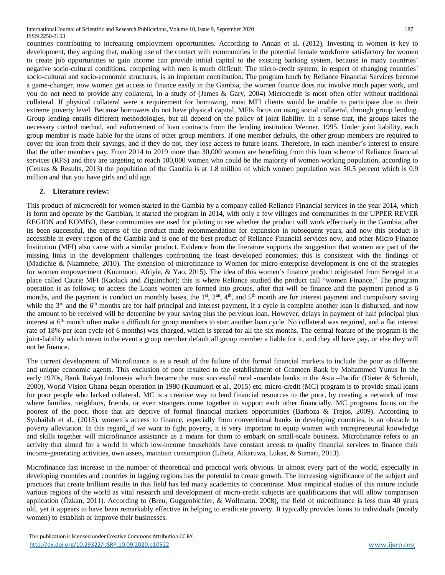countries contributing to increasing employment opportunities. According to Annan et al. (2012), Investing in women is key to development, they arguing that, making use of the contact with communities in the potential female workforce satisfactory for women to create job opportunities to gain income can provide initial capital to the existing banking system, because in many countries' negative socio-cultural conditions, competing with men is much difficult. The micro-credit system, in respect of changing countries` socio-cultural and socio-economic structures, is an important contribution. The program lunch by Reliance Financial Services become a game-changer, now women get access to finance easily in the Gambia, the women finance does not involve much paper work, and you do not need to provide any collateral, in a study of (James & Gary, 2004) Microcredit is most often offer without traditional collateral. If physical collateral were a requirement for borrowing, most MFI clients would be unable to participate due to their extreme poverty level. Because borrowers do not have physical capital, MFIs focus on using social collateral, through group lending. Group lending entails different methodologies, but all depend on the policy of joint liability. In a sense that, the groups takes the necessary control method, and enforcement of loan contracts from the lending institution Wenner, 1995. Under joint liability, each group member is made liable for the loans of other group members. If one member defaults, the other group members are required to cover the loan from their savings, and if they do not, they lose access to future loans. Therefore, in each member's interest to ensure that the other members pay. From 2014 to 2019 more than 30,000 women are benefiting from this loan scheme of Reliance financial services (RFS) and they are targeting to reach 100,000 women who could be the majority of women working population, according to (Census & Results, 2013) the population of the Gambia is at 1.8 million of which women population was 50.5 percent which is 0.9 million and that you have girls and old age.

# **2. Literature review:**

This product of microcredit for women started in the Gambia by a company called Reliance Financial services in the year 2014, which is form and operate by the Gambian, it started the program in 2014, with only a few villages and communities in the UPPER REVER REGION and KOMBO, these communities are used for piloting to see whether the product will work effectively in the Gambia, after its been successful, the experts of the product made recommendation for expansion in subsequent years, and now this product is accessible in every region of the Gambia and is one of the best product of Reliance Financial services now, and other Micro Finance Institution (MFI) also came with a similar product. Evidence from the literature supports the suggestion that women are part of the missing links in the development challenges confronting the least developed economies; this is consistent with the findings of (Madichie & Nkamnebe, 2010). The extension of microfinance to Women for micro-enterprise development is one of the strategies for women empowerment (Kuumuori, Afriyie, & Yao, 2015). The idea of this women`s finance product originated from Senegal in a place called Caurie MFI (Kaolack and Ziguinchor); this is where Reliance studied the product call "women Finance." The program operation is as follows; to access the Loans women are formed into groups, after that will be finance and the payment period is 6 months, and the payment is conduct on monthly bases, the  $1<sup>st</sup>$ ,  $2<sup>an</sup>$ ,  $4<sup>th</sup>$ , and  $5<sup>th</sup>$  month are for interest payment and compulsory saving while the  $3<sup>rd</sup>$  and the 6<sup>th</sup> months are for half principal and interest payment, if a cycle is complete another loan is disbursed, and now the amount to be received will be determine by your saving plus the pervious loan. However, delays in payment of half principal plus interest at  $6<sup>th</sup>$  month often make it difficult for group members to start another loan cycle. No collateral was required, and a flat interest rate of 18% per loan cycle (of 6 months) was charged, which is spread for all the six months. The central feature of the program is the joint-liability which mean in the event a group member default all group member a liable for it, and they all have pay, or else they will not be finance.

The current development of Microfinance is as a result of the failure of the formal financial markets to include the poor as different and unique economic agents. This exclusion of poor resulted to the establishment of Grameen Bank by Mohammed Yunus In the early 1970s, Bank Rakyat Indonesia which became the most successful rural -mandate banks in the Asia –Pacific (Dieter & Schmidt, 2000), World Vision Ghana began operation in 1980 (Kuumuori et al., 2015) etc. micro-credit (MC) program is to provide small loans for poor people who lacked collateral. MC is a creative way to lend financial resources to the poor, by creating a network of trust where families, neighbors, friends, or even strangers come together to support each other financially. MC programs focus on the poorest of the poor, those that are deprive of formal financial markets opportunities (Barboza & Trejos, 2009). According to Syuhailah et al., (2015), women`s access to finance, especially from conventional banks in developing countries, is an obstacle to poverty alleviation. In this regard, if we want to fight poverty, it is very important to equip women with entrepreneurial knowledge and skills together will microfinance assistance as a means for them to embark on small-scale business. Microfinance refers to an activity that aimed for a world in which low-income households have constant access to quality financial services to finance their income-generating activities, own assets, maintain consumption (Liheta, Aikaruwa, Lukas, & Sumari, 2013).

Microfinance fast increase in the number of theoretical and practical work obvious. In almost every part of the world, especially in developing countries and countries in lagging regions has the potential to create growth. The increasing significance of the subject and practices that create brilliant results in this field has led many academics to concentrate. Most empirical studies of this nature include various regions of the world as vital research and development of micro-credit subjects are qualifications that will allow comparison application (Özkan, 2011). According to (Breu, Guggenbichler, & Wollmann, 2008), the field of microfinance is less than 40 years old, yet it appears to have been remarkably effective in helping to eradicate poverty. It typically provides loans to individuals (mostly women) to establish or improve their businesses.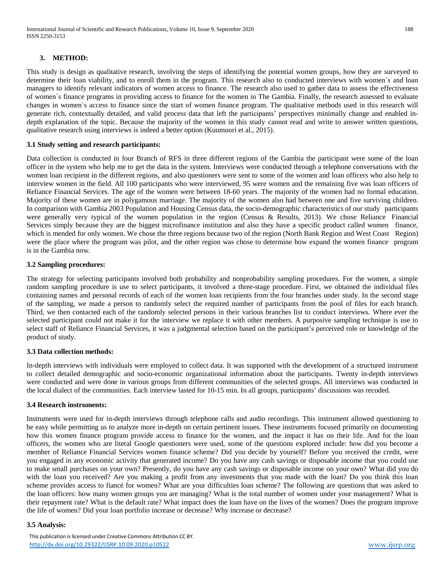#### **3. METHOD:**

This study is design as qualitative research, involving the steps of identifying the potential women groups, how they are surveyed to determine their loan viability, and to enroll them in the program. This research also to conducted interviews with women`s and loan managers to identify relevant indicators of women access to finance. The research also used to gather data to assess the effectiveness of women`s finance programs in providing access to finance for the women in The Gambia. Finally, the research assessed to evaluate changes in women`s access to finance since the start of women finance program. The qualitative methods used in this research will generate rich, contextually detailed, and valid process data that left the participants' perspectives minimally change and enabled indepth explanation of the topic. Because the majority of the women in this study cannot read and write to answer written questions, qualitative research using interviews is indeed a better option (Kuumuori et al., 2015).

#### **3.1 Study setting and research participants:**

Data collection is conducted in four Branch of RFS in three different regions of the Gambia the participant were some of the loan officer in the system who help me to get the data in the system. Interviews were conducted through a telephone conversations with the women loan recipient in the different regions, and also questioners were sent to some of the women and loan officers who also help to interview women in the field. All 100 participants who were interviewed, 95 were women and the remaining five was loan officers of Reliance Financial Services. The age of the women were between 18-60 years. The majority of the women had no formal education. Majority of these women are in polygamous marriage. The majority of the women also had between one and five surviving children. In comparison with Gambia 2003 Population and Housing Census data, the socio-demographic characteristics of our study participants were generally very typical of the women population in the region (Census & Results, 2013). We chose Reliance Financial Services simply because they are the biggest microfinance institution and also they have a specific product called women finance, which is mended for only women. We chose the three regions because two of the region (North Bank Region and West Coast Region) were the place where the program was pilot, and the other region was chose to determine how expand the women finance program is in the Gambia now.

#### **3.2 Sampling procedures:**

The strategy for selecting participants involved both probability and nonprobability sampling procedures. For the women, a simple random sampling procedure is use to select participants, it involved a three-stage procedure. First, we obtained the individual files containing names and personal records of each of the women loan recipients from the four branches under study. In the second stage of the sampling, we made a person to randomly select the required number of participants from the pool of files for each branch. Third, we then contacted each of the randomly selected persons in their various branches list to conduct interviews. Where ever the selected participant could not make it for the interview we replace it with other members. A purposive sampling technique is use to select staff of Reliance Financial Services, it was a judgmental selection based on the participant's perceived role or knowledge of the product of study.

#### **3.3 Data collection methods:**

In-depth interviews with individuals were employed to collect data. It was supported with the development of a structured instrument to collect detailed demographic and socio-economic organizational information about the participants. Twenty in-depth interviews were conducted and were done in various groups from different communities of the selected groups. All interviews was conducted in the local dialect of the communities. Each interview lasted for 10-15 min. In all groups, participants' discussions was recoded.

#### **3.4 Research instruments:**

Instruments were used for in-depth interviews through telephone calls and audio recordings. This instrument allowed questioning to be easy while permitting us to analyze more in-depth on certain pertinent issues. These instruments focused primarily on documenting how this women finance program provide access to finance for the women, and the impact it has on their life. And for the loan officers, the women who are literal Google questioners were used, some of the questions explored include: how did you become a member of Reliance Financial Services women finance scheme? Did you decide by yourself? Before you received the credit, were you engaged in any economic activity that generated income? Do you have any cash savings or disposable income that you could use to make small purchases on your own? Presently, do you have any cash savings or disposable income on your own? What did you do with the loan you received? Are you making a profit from any investments that you made with the loan? Do you think this loan scheme provides access to fiancé for women? What are your difficulties loan scheme? The following are questions that was asked to the loan officers: how many women groups you are managing? What is the total number of women under your management? What is their repayment rate? What is the default rate? What impact does the loan have on the lives of the women? Does the program improve the life of women? Did your loan portfolio increase or decrease? Why increase or decrease?

#### **3.5 Analysis:**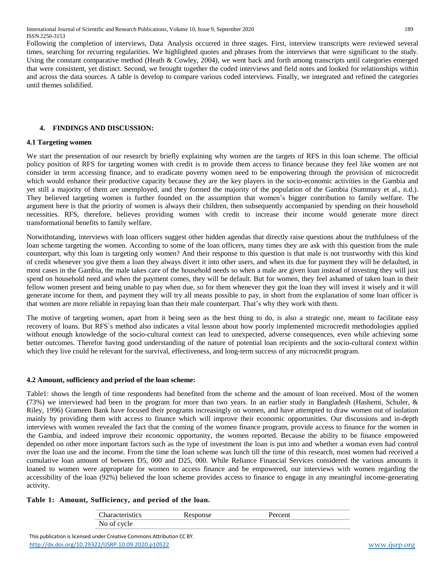# **4. FINDINGS AND DISCUSSION:**

# **4.1 Targeting women**

We start the presentation of our research by briefly explaining why women are the targets of RFS in this loan scheme. The official policy position of RFS for targeting women with credit is to provide them access to finance because they feel like women are not consider in term accessing finance, and to eradicate poverty women need to be empowering through the provision of microcredit which would enhance their productive capacity because they are the key players in the socio-economic activities in the Gambia and yet still a majority of them are unemployed, and they formed the majority of the population of the Gambia (Summary et al., n.d.). They believed targeting women is further founded on the assumption that women's bigger contribution to family welfare. The argument here is that the priority of women is always their children, then subsequently accompanied by spending on their household necessities. RFS, therefore, believes providing women with credit to increase their income would generate more direct transformational benefits to family welfare.

Notwithstanding, interviews with loan officers suggest other hidden agendas that directly raise questions about the truthfulness of the loan scheme targeting the women. According to some of the loan officers, many times they are ask with this question from the male counterpart, why this loan is targeting only women? And their response to this question is that male is not trustworthy with this kind of credit whenever you give them a loan they always divert it into other users, and when its due for payment they will be defaulted, in most cases in the Gambia, the male takes care of the household needs so when a male are given loan instead of investing they will just spend on household need and when the payment comes, they will be default. But for women, they feel ashamed of taken loan in their fellow women present and being unable to pay when due, so for them whenever they got the loan they will invest it wisely and it will generate income for them, and payment they will try all means possible to pay, in short from the explanation of some loan officer is that women are more reliable in repaying loan than their male counterpart. That's why they work with them.

The motive of targeting women, apart from it being seen as the best thing to do, is also a strategic one, meant to facilitate easy recovery of loans. But RFS`s method also indicates a vital lesson about how poorly implemented microcredit methodologies applied without enough knowledge of the socio-cultural context can lead to unexpected, adverse consequences, even while achieving some better outcomes. Therefor having good understanding of the nature of potential loan recipients and the socio-cultural context within which they live could be relevant for the survival, effectiveness, and long-term success of any microcredit program.

#### **4.2 Amount, sufficiency and period of the loan scheme:**

Table1: shows the length of time respondents had benefited from the scheme and the amount of loan received. Most of the women (73%) we interviewed had been in the program for more than two years. In an earlier study in Bangladesh (Hashemi, Schuler, & Riley, 1996) Grameen Bank have focused their programs increasingly on women, and have attempted to draw women out of isolation mainly by providing them with access to finance which will improve their economic opportunities. Our discussions and in-depth interviews with women revealed the fact that the coming of the women finance program, provide access to finance for the women in the Gambia, and indeed improve their economic opportunity, the women reported. Because the ability to be finance empowered depended on other more important factors such as the type of investment the loan is put into and whether a woman even had control over the loan use and the income. From the time the loan scheme was lunch till the time of this research, most women had received a cumulative loan amount of between D5, 000 and D25, 000. While Reliance Financial Services considered the various amounts it loaned to women were appropriate for women to access finance and be empowered, our interviews with women regarding the accessibility of the loan (92%) believed the loan scheme provides access to finance to engage in any meaningful income-generating activity.

# **Table 1: Amount, Sufficiency, and period of the loan.**

| Tharacteristics | Response |  |
|-----------------|----------|--|
| No of cycle     |          |  |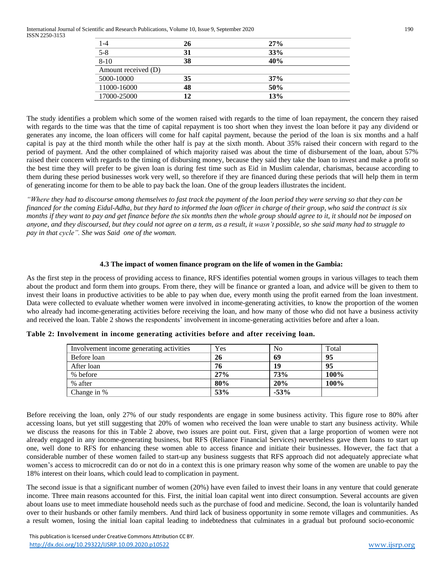| $1 - 4$             | 26 | 27% |  |
|---------------------|----|-----|--|
| $\overline{5-8}$    | 31 | 33% |  |
| $8 - 10$            | 38 | 40% |  |
| Amount received (D) |    |     |  |
| 5000-10000          | 35 | 37% |  |
| 11000-16000         | 48 | 50% |  |
| 17000-25000         | 17 | 13% |  |

The study identifies a problem which some of the women raised with regards to the time of loan repayment, the concern they raised with regards to the time was that the time of capital repayment is too short when they invest the loan before it pay any dividend or generates any income, the loan officers will come for half capital payment, because the period of the loan is six months and a half capital is pay at the third month while the other half is pay at the sixth month. About 35% raised their concern with regard to the period of payment. And the other complained of which majority raised was about the time of disbursement of the loan, about 57% raised their concern with regards to the timing of disbursing money, because they said they take the loan to invest and make a profit so the best time they will prefer to be given loan is during fest time such as Eid in Muslim calendar, charismas, because according to them during these period businesses work very well, so therefore if they are financed during these periods that will help them in term of generating income for them to be able to pay back the loan. One of the group leaders illustrates the incident.

"Where they had to discourse among themselves to fast track the payment of the loan period they were serving so that they can be financed for the coming Eidul-Adha, but they hard to informed the loan officer in charge of their group, who said the contract is six months if they want to pay and get finance before the six months then the whole group should agree to it, it should not be imposed on anyone, and they discoursed, but they could not agree on a term, as a result, it wasn't possible, so she said many had to struggle to *pay in that cycle". She was Said one of the woman.*

# **4.3 The impact of women finance program on the life of women in the Gambia:**

As the first step in the process of providing access to finance, RFS identifies potential women groups in various villages to teach them about the product and form them into groups. From there, they will be finance or granted a loan, and advice will be given to them to invest their loans in productive activities to be able to pay when due, every month using the profit earned from the loan investment. Data were collected to evaluate whether women were involved in income-generating activities, to know the proportion of the women who already had income-generating activities before receiving the loan, and how many of those who did not have a business activity and received the loan. Table 2 shows the respondents' involvement in income-generating activities before and after a loan.

| Involvement income generating activities | Yes | N <sub>0</sub> | Total |
|------------------------------------------|-----|----------------|-------|
| Before loan                              | 26  | -69            | 95    |
| After loan                               | 76  | 19             | 95    |
| % before                                 | 27% | 73%            | 100%  |
| % after                                  | 80% | 20%            | 100%  |
| Change in %                              | 53% | $-53%$         |       |

|  | Table 2: Involvement in income generating activities before and after receiving loan. |  |  |  |  |
|--|---------------------------------------------------------------------------------------|--|--|--|--|
|  |                                                                                       |  |  |  |  |

Before receiving the loan, only 27% of our study respondents are engage in some business activity. This figure rose to 80% after accessing loans, but yet still suggesting that 20% of women who received the loan were unable to start any business activity. While we discuss the reasons for this in Table 2 above, two issues are point out. First, given that a large proportion of women were not already engaged in any income-generating business, but RFS (Reliance Financial Services) nevertheless gave them loans to start up one, well done to RFS for enhancing these women able to access finance and initiate their businesses. However, the fact that a considerable number of these women failed to start-up any business suggests that RFS approach did not adequately appreciate what women's access to microcredit can do or not do in a context this is one primary reason why some of the women are unable to pay the 18% interest on their loans, which could lead to complication in payment.

The second issue is that a significant number of women (20%) have even failed to invest their loans in any venture that could generate income. Three main reasons accounted for this. First, the initial loan capital went into direct consumption. Several accounts are given about loans use to meet immediate household needs such as the purchase of food and medicine. Second, the loan is voluntarily handed over to their husbands or other family members. And third lack of business opportunity in some remote villages and communities. As a result women, losing the initial loan capital leading to indebtedness that culminates in a gradual but profound socio-economic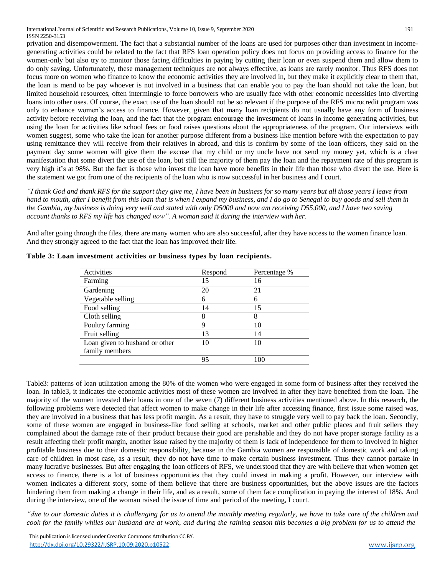privation and disempowerment. The fact that a substantial number of the loans are used for purposes other than investment in incomegenerating activities could be related to the fact that RFS loan operation policy does not focus on providing access to finance for the women-only but also try to monitor those facing difficulties in paying by cutting their loan or even suspend them and allow them to do only saving. Unfortunately, these management techniques are not always effective, as loans are rarely monitor. Thus RFS does not focus more on women who finance to know the economic activities they are involved in, but they make it explicitly clear to them that, the loan is mend to be pay whoever is not involved in a business that can enable you to pay the loan should not take the loan, but limited household resources, often intermingle to force borrowers who are usually face with other economic necessities into diverting loans into other uses. Of course, the exact use of the loan should not be so relevant if the purpose of the RFS microcredit program was only to enhance women's access to finance. However, given that many loan recipients do not usually have any form of business activity before receiving the loan, and the fact that the program encourage the investment of loans in income generating activities, but using the loan for activities like school fees or food raises questions about the appropriateness of the program. Our interviews with women suggest, some who take the loan for another purpose different from a business like mention before with the expectation to pay using remittance they will receive from their relatives in abroad, and this is confirm by some of the loan officers, they said on the payment day some women will give them the excuse that my child or my uncle have not send my money yet, which is a clear manifestation that some divert the use of the loan, but still the majority of them pay the loan and the repayment rate of this program is very high it's at 98%. But the fact is those who invest the loan have more benefits in their life than those who divert the use. Here is the statement we got from one of the recipients of the loan who is now successful in her business and I court.

"I thank God and thank RFS for the support they give me, I have been in business for so many years but all those years I leave from hand to mouth, after I benefit from this loan that is when I expand my business, and I do go to Senegal to buy goods and sell them in *the Gambia, my business is doing very well and stated with only D5000 and now am receiving D55,000, and I have two saving account thanks to RFS my life has changed now". A woman said it during the interview with her.*

And after going through the files, there are many women who are also successful, after they have access to the women finance loan. And they strongly agreed to the fact that the loan has improved their life.

| Activities                     | Respond | Percentage % |  |
|--------------------------------|---------|--------------|--|
| Farming                        | 15      | 16           |  |
| Gardening                      | 20      | 21           |  |
| Vegetable selling              | 6       | 6            |  |
| Food selling                   | 14      | 15           |  |
| Cloth selling                  | 8       | 8            |  |
| Poultry farming                | 9       | 10           |  |
| Fruit selling                  | 13      | 14           |  |
| Loan given to husband or other | 10      | 10           |  |
| family members                 |         |              |  |
|                                | 95      | 100          |  |

**Table 3: Loan investment activities or business types by loan recipients.**

Table3: patterns of loan utilization among the 80% of the women who were engaged in some form of business after they received the loan. In table3, it indicates the economic activities most of these women are involved in after they have benefited from the loan. The majority of the women invested their loans in one of the seven (7) different business activities mentioned above. In this research, the following problems were detected that affect women to make change in their life after accessing finance, first issue some raised was, they are involved in a business that has less profit margin. As a result, they have to struggle very well to pay back the loan. Secondly, some of these women are engaged in business-like food selling at schools, market and other public places and fruit sellers they complained about the damage rate of their product because their good are perishable and they do not have proper storage facility as a result affecting their profit margin, another issue raised by the majority of them is lack of independence for them to involved in higher profitable business due to their domestic responsibility, because in the Gambia women are responsible of domestic work and taking care of children in most case, as a result, they do not have time to make certain business investment. Thus they cannot partake in many lucrative businesses. But after engaging the loan officers of RFS, we understood that they are with believe that when women get access to finance, there is a lot of business opportunities that they could invest in making a profit. However, our interview with women indicates a different story, some of them believe that there are business opportunities, but the above issues are the factors hindering them from making a change in their life, and as a result, some of them face complication in paying the interest of 18%. And during the interview, one of the woman raised the issue of time and period of the meeting, I court.

"due to our domestic duties it is challenging for us to attend the monthly meeting regularly, we have to take care of the children and cook for the family whiles our husband are at work, and during the raining season this becomes a big problem for us to attend the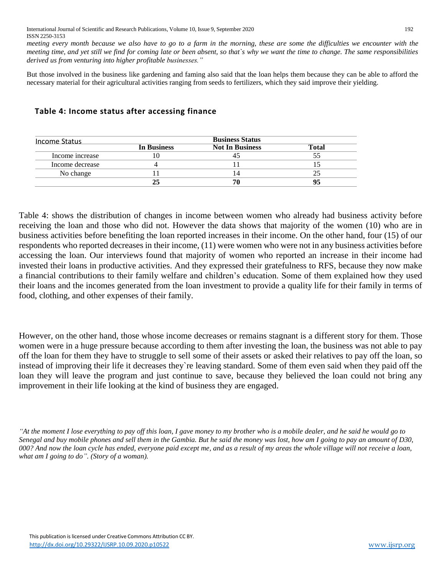meeting every month because we also have to go to a farm in the morning, these are some the difficulties we encounter with the meeting time, and yet still we find for coming late or been absent, so that's why we want the time to change. The same responsibilities *derived us from venturing into higher profitable businesses."*

But those involved in the business like gardening and faming also said that the loan helps them because they can be able to afford the necessary material for their agricultural activities ranging from seeds to fertilizers, which they said improve their yielding.

| Income Status   | <b>Business Status</b> |                        |       |  |  |
|-----------------|------------------------|------------------------|-------|--|--|
|                 | In Business            | <b>Not In Business</b> | Total |  |  |
| Income increase |                        |                        |       |  |  |
| Income decrease |                        |                        |       |  |  |
| No change       |                        |                        |       |  |  |
|                 |                        |                        | 04    |  |  |

# **Table 4: Income status after accessing finance**

Table 4: shows the distribution of changes in income between women who already had business activity before receiving the loan and those who did not. However the data shows that majority of the women (10) who are in business activities before benefiting the loan reported increases in their income. On the other hand, four (15) of our respondents who reported decreases in their income, (11) were women who were not in any business activities before accessing the loan. Our interviews found that majority of women who reported an increase in their income had invested their loans in productive activities. And they expressed their gratefulness to RFS, because they now make a financial contributions to their family welfare and children's education. Some of them explained how they used their loans and the incomes generated from the loan investment to provide a quality life for their family in terms of food, clothing, and other expenses of their family.

However, on the other hand, those whose income decreases or remains stagnant is a different story for them. Those women were in a huge pressure because according to them after investing the loan, the business was not able to pay off the loan for them they have to struggle to sell some of their assets or asked their relatives to pay off the loan, so instead of improving their life it decreases they`re leaving standard. Some of them even said when they paid off the loan they will leave the program and just continue to save, because they believed the loan could not bring any improvement in their life looking at the kind of business they are engaged.

*"At the moment I lose everything to pay off this loan, I gave money to my brother who is a mobile dealer, and he said he would go to Senegal and buy mobile phones and sell them in the Gambia. But he said the money was lost, how am I going to pay an amount of D30, 000? And now the loan cycle has ended, everyone paid except me, and as a result of my areas the whole village will not receive a loan, what am I going to do". (Story of a woman).*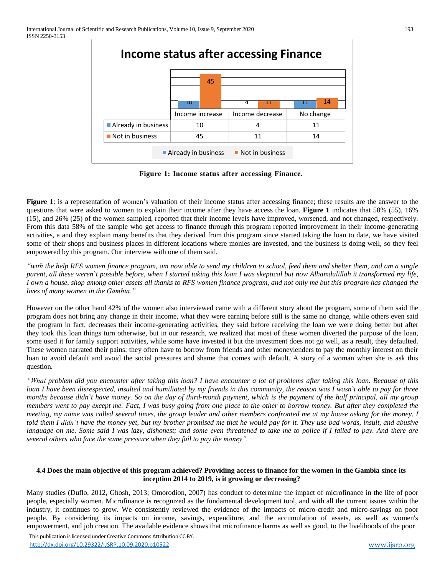

**Figure 1: Income status after accessing Finance.**

**Figure** 1: is a representation of women's valuation of their income status after accessing finance; these results are the answer to the questions that were asked to women to explain their income after they have access the loan. **Figure 1** indicates that 58% (55), 16% (15), and 26% (25) of the women sampled, reported that their income levels have improved, worsened, and not changed, respectively. From this data 58% of the sample who get access to finance through this program reported improvement in their income-generating activities, a and they explain many benefits that they derived from this program since started taking the loan to date, we have visited some of their shops and business places in different locations where monies are invested, and the business is doing well, so they feel empowered by this program. Our interview with one of them said.

"with the help RFS women finance program, am now able to send my children to school, feed them and shelter them, and am a single parent, all these weren't possible before, when I started taking this loan I was skeptical but now Alhamdulillah it transformed my life, I own a house, shop among other assets all thanks to RFS women finance program, and not only me but this program has changed the *lives of many women in the Gambia."*

However on the other hand 42% of the women also interviewed came with a different story about the program, some of them said the program does not bring any change in their income, what they were earning before still is the same no change, while others even said the program in fact, decreases their income-generating activities, they said before receiving the loan we were doing better but after they took this loan things turn otherwise, but in our research, we realized that most of these women diverted the purpose of the loan, some used it for family support activities, while some have invested it but the investment does not go well, as a result, they defaulted. These women narrated their pains; they often have to borrow from friends and other moneylenders to pay the monthly interest on their loan to avoid default and avoid the social pressures and shame that comes with default. A story of a woman when she is ask this question.

"What problem did you encounter after taking this loan? I have encounter a lot of problems after taking this loan. Because of this loan I have been disrespected, insulted and humiliated by my friends in this community, the reason was I wasn't able to pay for three months because didn't have money. So on the day of third-month payment, which is the payment of the half principal, all my group members went to pay except me. Fact, I was busy going from one place to the other to borrow money. But after they completed the meeting, my name was called several times, the group leader and other members confronted me at my house asking for the money. I told them I didn't have the money yet, but my brother promised me that he would pay for it. They use bad words, insult, and abusive language on me. Some said I was lazy, dishonest; and some even threatened to take me to police if I failed to pay. And there are *several others who face the same pressure when they fail to pay the money".*

# 4.4 Does the main objective of this program achieved? Providing access to finance for the women in the Gambia since its **inception 2014 to 2019, is it growing or decreasing?**

Many studies (Duflo, 2012, Ghosh, 2013; Omorodion, 2007) has conduct to determine the impact of microfinance in the life of poor people, especially women. Microfinance is recognized as the fundamental development tool, and with all the current issues within the industry, it continues to grow. We consistently reviewed the evidence of the impacts of micro-credit and micro-savings on poor people. By considering its impacts on income, savings, expenditure, and the accumulation of assets, as well as women's empowerment, and job creation. The available evidence shows that microfinance harms as well as good, to the livelihoods of the poor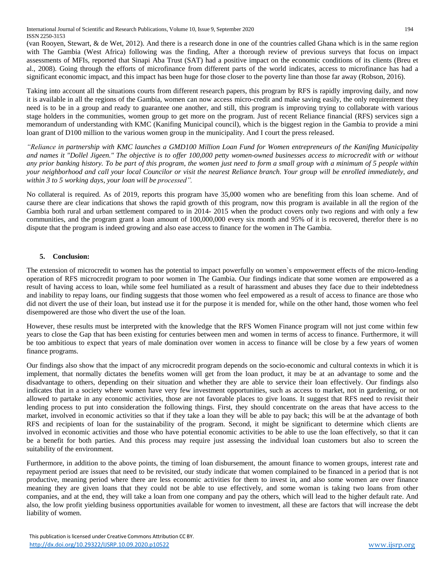(van Rooyen, Stewart, & de Wet, 2012). And there is a research done in one of the countries called Ghana which is in the same region with The Gambia (West Africa) following was the finding, After a thorough review of previous surveys that focus on impact assessments of MFIs, reported that Sinapi Aba Trust (SAT) had a positive impact on the economic conditions of its clients (Breu et al., 2008). Going through the efforts of microfinance from different parts of the world indicates, access to microfinance has had a significant economic impact, and this impact has been huge for those closer to the poverty line than those far away (Robson, 2016).

Taking into account all the situations courts from different research papers, this program by RFS is rapidly improving daily, and now it is available in all the regions of the Gambia, women can now access micro-credit and make saving easily, the only requirement they need is to be in a group and ready to guarantee one another, and still, this program is improving trying to collaborate with various stage holders in the communities, women group to get more on the program. Just of recent Reliance financial (RFS) services sign a memorandum of understanding with KMC (Kanifing Municipal council), which is the biggest region in the Gambia to provide a mini loan grant of D100 million to the various women group in the municipality. And I court the press released.

"Reliance in partnership with KMC launches a GMD100 Million Loan Fund for Women entrepreneurs of the Kanifing Municipality and names it "Dollel Jigeen." The objective is to offer 100,000 petty women-owned businesses access to microcredit with or without any prior banking history. To be part of this program, the women just need to form a small group with a minimum of 5 people within your neighborhood and call your local Councilor or visit the nearest Reliance branch. Your group will be enrolled immediately, and *within 3 to 5 working days, your loan will be processed".*

No collateral is required. As of 2019, reports this program have 35,000 women who are benefiting from this loan scheme. And of caurse there are clear indications that shows the rapid growth of this program, now this program is available in all the region of the Gambia both rural and urban settlement compared to in 2014- 2015 when the product covers only two regions and with only a few communities, and the program grant a loan amount of 100,000,000 every six month and 95% of it is recovered, therefor there is no dispute that the program is indeed growing and also ease access to finance for the women in The Gambia.

# **5. Conclusion:**

The extension of microcredit to women has the potential to impact powerfully on women`s empowerment effects of the micro-lending operation of RFS microcredit program to poor women in The Gambia. Our findings indicate that some women are empowered as a result of having access to loan, while some feel humiliated as a result of harassment and abuses they face due to their indebtedness and inability to repay loans, our finding suggests that those women who feel empowered as a result of access to finance are those who did not divert the use of their loan, but instead use it for the purpose it is mended for, while on the other hand, those women who feel disempowered are those who divert the use of the loan.

However, these results must be interpreted with the knowledge that the RFS Women Finance program will not just come within few years to close the Gap that has been existing for centuries between men and women in terms of access to finance. Furthermore, it will be too ambitious to expect that years of male domination over women in access to finance will be close by a few years of women finance programs.

Our findings also show that the impact of any microcredit program depends on the socio-economic and cultural contexts in which it is implement, that normally dictates the benefits women will get from the loan product, it may be at an advantage to some and the disadvantage to others, depending on their situation and whether they are able to service their loan effectively. Our findings also indicates that in a society where women have very few investment opportunities, such as access to market, not in gardening, or not allowed to partake in any economic activities, those are not favorable places to give loans. It suggest that RFS need to revisit their lending process to put into consideration the following things. First, they should concentrate on the areas that have access to the market, involved in economic activities so that if they take a loan they will be able to pay back; this will be at the advantage of both RFS and recipients of loan for the sustainability of the program. Second, it might be significant to determine which clients are involved in economic activities and those who have potential economic activities to be able to use the loan effectively, so that it can be a benefit for both parties. And this process may require just assessing the individual loan customers but also to screen the suitability of the environment.

Furthermore, in addition to the above points, the timing of loan disbursement, the amount finance to women groups, interest rate and repayment period are issues that need to be revisited, our study indicate that women complained to be financed in a period that is not productive, meaning period where there are less economic activities for them to invest in, and also some women are over finance meaning they are given loans that they could not be able to use effectively, and some woman is taking two loans from other companies, and at the end, they will take a loan from one company and pay the others, which will lead to the higher default rate. And also, the low profit yielding business opportunities available for women to investment, all these are factors that will increase the debt liability of women.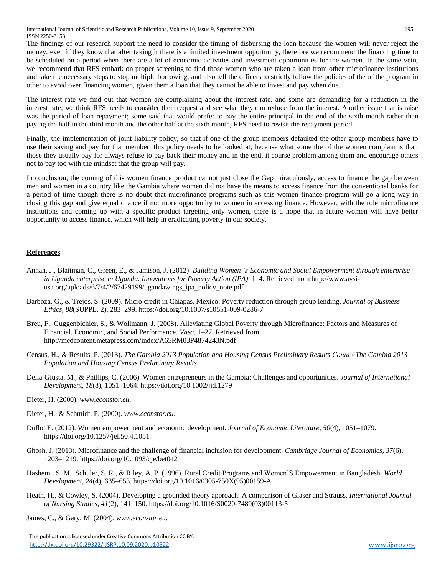The findings of our research support the need to consider the timing of disbursing the loan because the women will never reject the money, even if they know that after taking it there is a limited investment opportunity, therefore we recommend the financing time to be scheduled on a period when there are a lot of economic activities and investment opportunities for the women. In the same vein, we recommend that RFS embark on proper screening to find those women who are taken a loan from other microfinance institutions and take the necessary steps to stop multiple borrowing, and also tell the officers to strictly follow the policies of the of the program in other to avoid over financing women, given them a loan that they cannot be able to invest and pay when due.

The interest rate we find out that women are complaining about the interest rate, and some are demanding for a reduction in the interest rate; we think RFS needs to consider their request and see what they can reduce from the interest. Another issue that is raise was the period of loan repayment; some said that would prefer to pay the entire principal in the end of the sixth month rather than paying the half in the third month and the other half at the sixth month, RFS need to revisit the repayment period.

Finally, the implementation of joint liability policy, so that if one of the group members defaulted the other group members have to use their saving and pay for that member, this policy needs to be looked at, because what some the of the women complain is that, those they usually pay for always refuse to pay back their money and in the end, it course problem among them and encourage others not to pay too with the mindset that the group will pay.

In conclusion, the coming of this women finance product cannot just close the Gap miraculously, access to finance the gap between men and women in a country like the Gambia where women did not have the means to access finance from the conventional banks for a period of time though there is no doubt that microfinance programs such as this women finance program will go a long way in closing this gap and give equal chance if not more opportunity to women in accessing finance. However, with the role microfinance institutions and coming up with a specific product targeting only women, there is a hope that in future women will have better opportunity to access finance, which will help in eradicating poverty in our society.

# **References**

- Annan, J., Blattman, C., Green, E., & Jamison, J. (2012). *Building Women 's Economic and Social Empowerment through enterprise in Uganda enterprise in Uganda. Innovations for Poverty Action (IPA)*. 1–4. Retrieved from http://www.avsiusa.org/uploads/6/7/4/2/67429199/ugandawings\_ipa\_policy\_note.pdf
- Barboza, G., & Trejos, S. (2009). Micro credit in Chiapas, México: Poverty reduction through group lending. *Journal of Business Ethics*, *88*(SUPPL. 2), 283–299. https://doi.org/10.1007/s10551-009-0286-7
- Breu, F., Guggenbichler, S., & Wollmann, J. (2008). Alleviating Global Poverty through Microfinance: Factors and Measures of Financial, Economic, and Social Performance. *Vasa*, 1–27. Retrieved fro[m](http://medcontent.metapress.com/index/A65RM03P4874243N.pdf) <http://medcontent.metapress.com/index/A65RM03P4874243N.pdf>
- Census, H., & Results, P. (2013). *The Gambia 2013 Population and Housing Census Preliminary Results Count ! The Gambia 2013 Population and Housing Census Preliminary Results*.
- Della-Giusta, M., & Phillips, C. (2006). Women entrepreneurs in the Gambia: Challenges and opportunities. *Journal of International Development*, *18*(8), 1051–1064. https://doi.org/10.1002/jid.1279
- Dieter, H. (2000). *[www.econstor.eu](http://www.econstor.eu/)*.
- Dieter, H., & Schmidt, P. (2000). *[www.econstor.eu](http://www.econstor.eu/)*.
- Duflo, E. (2012). Women empowerment and economic development. *Journal of Economic Literature*, *50*(4), 1051–1079. https://doi.org/10.1257/jel.50.4.1051
- Ghosh, J. (2013). Microfinance and the challenge of financial inclusion for development. *Cambridge Journal of Economics*, *37*(6), 1203–1219. https://doi.org/10.1093/cje/bet042
- Hashemi, S. M., Schuler, S. R., & Riley, A. P. (1996). Rural Credit Programs and Women'S Empowerment in Bangladesh. *World Development*, *24*(4), 635–653. https://doi.org/10.1016/0305-750X(95)00159-A
- Heath, H., & Cowley, S. (2004). Developing a grounded theory approach: A comparison of Glaser and Strauss. *International Journal of Nursing Studies*, *41*(2), 141–150. https://doi.org/10.1016/S0020-7489(03)00113-5
- James, C., & Gary, M. (2004). *[www.econstor.eu](http://www.econstor.eu/)*.

195

This publication is licensed under Creative Commons Attribution CC BY. <http://dx.doi.org/10.29322/IJSRP.10.09.2020.p10522> [www.ijsrp.org](http://www.ijsrp.org/)